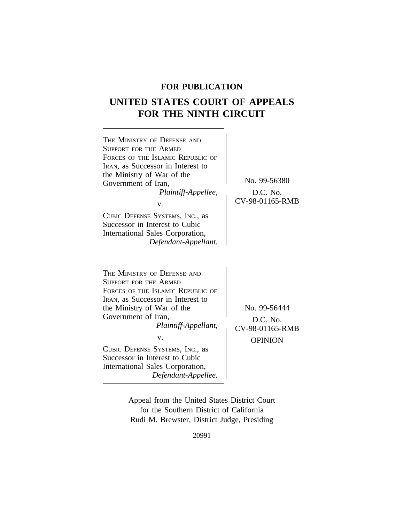## **FOR PUBLICATION**

# **UNITED STATES COURT OF APPEALS FOR THE NINTH CIRCUIT**



Appeal from the United States District Court for the Southern District of California Rudi M. Brewster, District Judge, Presiding

20991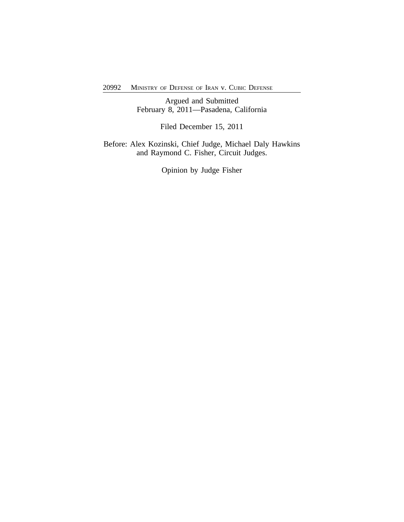Argued and Submitted February 8, 2011—Pasadena, California

Filed December 15, 2011

Before: Alex Kozinski, Chief Judge, Michael Daly Hawkins and Raymond C. Fisher, Circuit Judges.

Opinion by Judge Fisher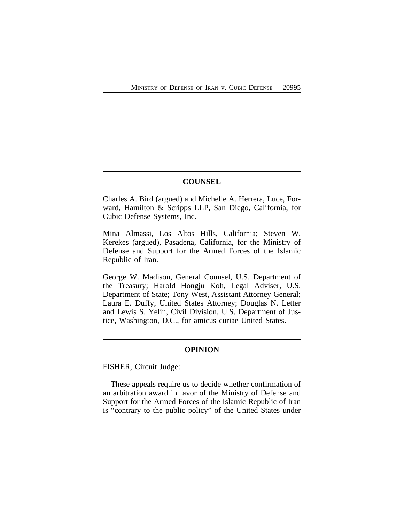## **COUNSEL**

Charles A. Bird (argued) and Michelle A. Herrera, Luce, Forward, Hamilton & Scripps LLP, San Diego, California, for Cubic Defense Systems, Inc.

Mina Almassi, Los Altos Hills, California; Steven W. Kerekes (argued), Pasadena, California, for the Ministry of Defense and Support for the Armed Forces of the Islamic Republic of Iran.

George W. Madison, General Counsel, U.S. Department of the Treasury; Harold Hongju Koh, Legal Adviser, U.S. Department of State; Tony West, Assistant Attorney General; Laura E. Duffy, United States Attorney; Douglas N. Letter and Lewis S. Yelin, Civil Division, U.S. Department of Justice, Washington, D.C., for amicus curiae United States.

## **OPINION**

FISHER, Circuit Judge:

These appeals require us to decide whether confirmation of an arbitration award in favor of the Ministry of Defense and Support for the Armed Forces of the Islamic Republic of Iran is "contrary to the public policy" of the United States under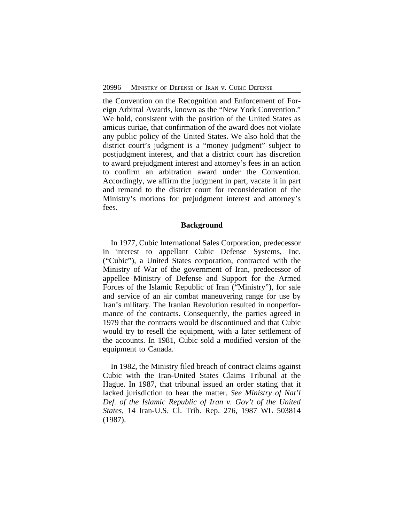the Convention on the Recognition and Enforcement of Foreign Arbitral Awards, known as the "New York Convention." We hold, consistent with the position of the United States as amicus curiae, that confirmation of the award does not violate any public policy of the United States. We also hold that the district court's judgment is a "money judgment" subject to postjudgment interest, and that a district court has discretion to award prejudgment interest and attorney's fees in an action to confirm an arbitration award under the Convention. Accordingly, we affirm the judgment in part, vacate it in part and remand to the district court for reconsideration of the Ministry's motions for prejudgment interest and attorney's fees.

#### **Background**

In 1977, Cubic International Sales Corporation, predecessor in interest to appellant Cubic Defense Systems, Inc. ("Cubic"), a United States corporation, contracted with the Ministry of War of the government of Iran, predecessor of appellee Ministry of Defense and Support for the Armed Forces of the Islamic Republic of Iran ("Ministry"), for sale and service of an air combat maneuvering range for use by Iran's military. The Iranian Revolution resulted in nonperformance of the contracts. Consequently, the parties agreed in 1979 that the contracts would be discontinued and that Cubic would try to resell the equipment, with a later settlement of the accounts. In 1981, Cubic sold a modified version of the equipment to Canada.

In 1982, the Ministry filed breach of contract claims against Cubic with the Iran-United States Claims Tribunal at the Hague. In 1987, that tribunal issued an order stating that it lacked jurisdiction to hear the matter. *See Ministry of Nat'l Def. of the Islamic Republic of Iran v. Gov't of the United States*, 14 Iran-U.S. Cl. Trib. Rep. 276, 1987 WL 503814 (1987).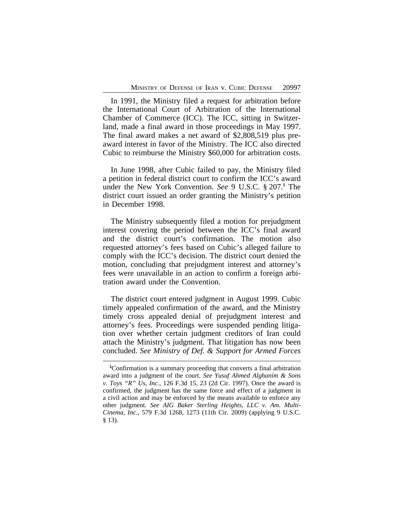In 1991, the Ministry filed a request for arbitration before the International Court of Arbitration of the International Chamber of Commerce (ICC). The ICC, sitting in Switzerland, made a final award in those proceedings in May 1997. The final award makes a net award of \$2,808,519 plus preaward interest in favor of the Ministry. The ICC also directed Cubic to reimburse the Ministry \$60,000 for arbitration costs.

In June 1998, after Cubic failed to pay, the Ministry filed a petition in federal district court to confirm the ICC's award under the New York Convention. *See* 9 U.S.C. § 207.**<sup>1</sup>** The district court issued an order granting the Ministry's petition in December 1998.

The Ministry subsequently filed a motion for prejudgment interest covering the period between the ICC's final award and the district court's confirmation. The motion also requested attorney's fees based on Cubic's alleged failure to comply with the ICC's decision. The district court denied the motion, concluding that prejudgment interest and attorney's fees were unavailable in an action to confirm a foreign arbitration award under the Convention.

The district court entered judgment in August 1999. Cubic timely appealed confirmation of the award, and the Ministry timely cross appealed denial of prejudgment interest and attorney's fees. Proceedings were suspended pending litigation over whether certain judgment creditors of Iran could attach the Ministry's judgment. That litigation has now been concluded. *See Ministry of Def. & Support for Armed Forces*

**<sup>1</sup>**Confirmation is a summary proceeding that converts a final arbitration award into a judgment of the court. *See Yusuf Ahmed Alghanim & Sons v. Toys "R" Us, Inc.*, 126 F.3d 15, 23 (2d Cir. 1997). Once the award is confirmed, the judgment has the same force and effect of a judgment in a civil action and may be enforced by the means available to enforce any other judgment. *See AIG Baker Sterling Heights, LLC v. Am. Multi-Cinema, Inc.*, 579 F.3d 1268, 1273 (11th Cir. 2009) (applying 9 U.S.C. § 13).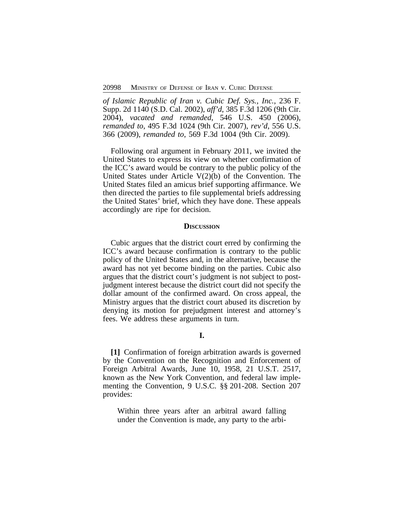*of Islamic Republic of Iran v. Cubic Def. Sys., Inc.*, 236 F. Supp. 2d 1140 (S.D. Cal. 2002), *aff'd*, 385 F.3d 1206 (9th Cir. 2004), *vacated and remanded*, 546 U.S. 450 (2006), *remanded to*, 495 F.3d 1024 (9th Cir. 2007), *rev'd*, 556 U.S. 366 (2009), *remanded to*, 569 F.3d 1004 (9th Cir. 2009).

Following oral argument in February 2011, we invited the United States to express its view on whether confirmation of the ICC's award would be contrary to the public policy of the United States under Article V(2)(b) of the Convention. The United States filed an amicus brief supporting affirmance. We then directed the parties to file supplemental briefs addressing the United States' brief, which they have done. These appeals accordingly are ripe for decision.

#### **DISCUSSION**

Cubic argues that the district court erred by confirming the ICC's award because confirmation is contrary to the public policy of the United States and, in the alternative, because the award has not yet become binding on the parties. Cubic also argues that the district court's judgment is not subject to postjudgment interest because the district court did not specify the dollar amount of the confirmed award. On cross appeal, the Ministry argues that the district court abused its discretion by denying its motion for prejudgment interest and attorney's fees. We address these arguments in turn.

## **I.**

**[1]** Confirmation of foreign arbitration awards is governed by the Convention on the Recognition and Enforcement of Foreign Arbitral Awards, June 10, 1958, 21 U.S.T. 2517, known as the New York Convention, and federal law implementing the Convention, 9 U.S.C. §§ 201-208. Section 207 provides:

Within three years after an arbitral award falling under the Convention is made, any party to the arbi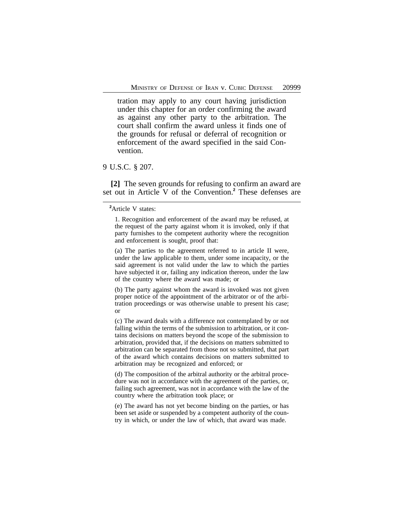tration may apply to any court having jurisdiction under this chapter for an order confirming the award as against any other party to the arbitration. The court shall confirm the award unless it finds one of the grounds for refusal or deferral of recognition or enforcement of the award specified in the said Convention.

## 9 U.S.C. § 207.

**[2]** The seven grounds for refusing to confirm an award are set out in Article V of the Convention.**<sup>2</sup>** These defenses are

1. Recognition and enforcement of the award may be refused, at the request of the party against whom it is invoked, only if that party furnishes to the competent authority where the recognition and enforcement is sought, proof that:

(a) The parties to the agreement referred to in article II were, under the law applicable to them, under some incapacity, or the said agreement is not valid under the law to which the parties have subjected it or, failing any indication thereon, under the law of the country where the award was made; or

(b) The party against whom the award is invoked was not given proper notice of the appointment of the arbitrator or of the arbitration proceedings or was otherwise unable to present his case; or

(c) The award deals with a difference not contemplated by or not falling within the terms of the submission to arbitration, or it contains decisions on matters beyond the scope of the submission to arbitration, provided that, if the decisions on matters submitted to arbitration can be separated from those not so submitted, that part of the award which contains decisions on matters submitted to arbitration may be recognized and enforced; or

(d) The composition of the arbitral authority or the arbitral procedure was not in accordance with the agreement of the parties, or, failing such agreement, was not in accordance with the law of the country where the arbitration took place; or

(e) The award has not yet become binding on the parties, or has been set aside or suspended by a competent authority of the country in which, or under the law of which, that award was made.

**<sup>2</sup>**Article V states: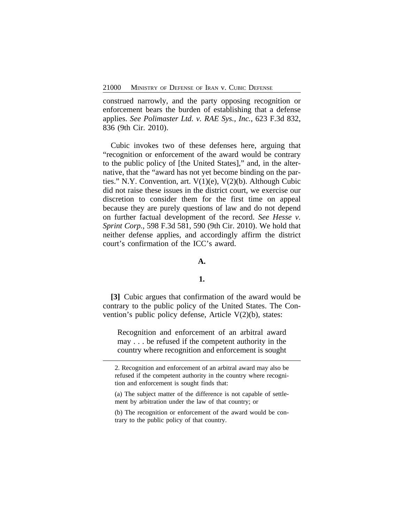construed narrowly, and the party opposing recognition or enforcement bears the burden of establishing that a defense applies. *See Polimaster Ltd. v. RAE Sys., Inc.*, 623 F.3d 832, 836 (9th Cir. 2010).

Cubic invokes two of these defenses here, arguing that "recognition or enforcement of the award would be contrary to the public policy of [the United States]," and, in the alternative, that the "award has not yet become binding on the parties." N.Y. Convention, art. V(1)(e), V(2)(b). Although Cubic did not raise these issues in the district court, we exercise our discretion to consider them for the first time on appeal because they are purely questions of law and do not depend on further factual development of the record. *See Hesse v. Sprint Corp.*, 598 F.3d 581, 590 (9th Cir. 2010). We hold that neither defense applies, and accordingly affirm the district court's confirmation of the ICC's award.

#### **A.**

## **1.**

**[3]** Cubic argues that confirmation of the award would be contrary to the public policy of the United States. The Convention's public policy defense, Article V(2)(b), states:

Recognition and enforcement of an arbitral award may . . . be refused if the competent authority in the country where recognition and enforcement is sought

<sup>2.</sup> Recognition and enforcement of an arbitral award may also be refused if the competent authority in the country where recognition and enforcement is sought finds that:

<sup>(</sup>a) The subject matter of the difference is not capable of settlement by arbitration under the law of that country; or

<sup>(</sup>b) The recognition or enforcement of the award would be contrary to the public policy of that country.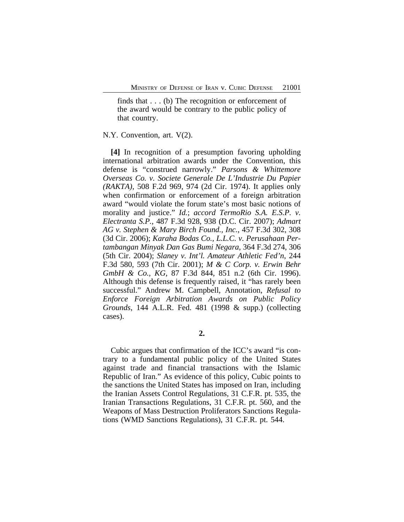finds that . . . (b) The recognition or enforcement of the award would be contrary to the public policy of that country.

#### N.Y. Convention, art. V(2).

**[4]** In recognition of a presumption favoring upholding international arbitration awards under the Convention, this defense is "construed narrowly." *Parsons & Whittemore Overseas Co. v. Societe Generale De L'Industrie Du Papier (RAKTA)*, 508 F.2d 969, 974 (2d Cir. 1974). It applies only when confirmation or enforcement of a foreign arbitration award "would violate the forum state's most basic notions of morality and justice." *Id.*; *accord TermoRio S.A. E.S.P. v. Electranta S.P.*, 487 F.3d 928, 938 (D.C. Cir. 2007); *Admart AG v. Stephen & Mary Birch Found., Inc.*, 457 F.3d 302, 308 (3d Cir. 2006); *Karaha Bodas Co., L.L.C. v. Perusahaan Pertambangan Minyak Dan Gas Bumi Negara*, 364 F.3d 274, 306 (5th Cir. 2004); *Slaney v. Int'l. Amateur Athletic Fed'n*, 244 F.3d 580, 593 (7th Cir. 2001); *M & C Corp. v. Erwin Behr GmbH & Co., KG*, 87 F.3d 844, 851 n.2 (6th Cir. 1996). Although this defense is frequently raised, it "has rarely been successful." Andrew M. Campbell, Annotation, *Refusal to Enforce Foreign Arbitration Awards on Public Policy Grounds*, 144 A.L.R. Fed. 481 (1998 & supp.) (collecting cases).

**2.**

Cubic argues that confirmation of the ICC's award "is contrary to a fundamental public policy of the United States against trade and financial transactions with the Islamic Republic of Iran." As evidence of this policy, Cubic points to the sanctions the United States has imposed on Iran, including the Iranian Assets Control Regulations, 31 C.F.R. pt. 535, the Iranian Transactions Regulations, 31 C.F.R. pt. 560, and the Weapons of Mass Destruction Proliferators Sanctions Regulations (WMD Sanctions Regulations), 31 C.F.R. pt. 544.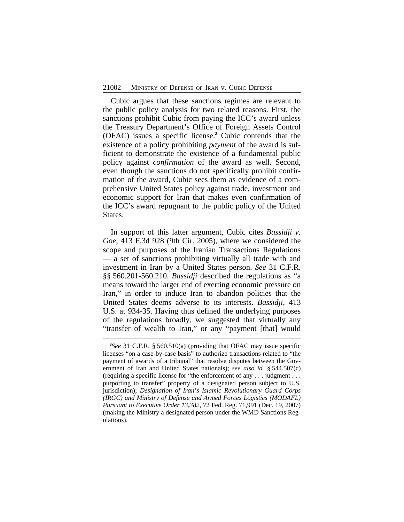Cubic argues that these sanctions regimes are relevant to the public policy analysis for two related reasons. First, the sanctions prohibit Cubic from paying the ICC's award unless the Treasury Department's Office of Foreign Assets Control (OFAC) issues a specific license.**<sup>3</sup>** Cubic contends that the existence of a policy prohibiting *payment* of the award is sufficient to demonstrate the existence of a fundamental public policy against *confirmation* of the award as well. Second, even though the sanctions do not specifically prohibit confirmation of the award, Cubic sees them as evidence of a comprehensive United States policy against trade, investment and economic support for Iran that makes even confirmation of the ICC's award repugnant to the public policy of the United States.

In support of this latter argument, Cubic cites *Bassidji v. Goe*, 413 F.3d 928 (9th Cir. 2005), where we considered the scope and purposes of the Iranian Transactions Regulations — a set of sanctions prohibiting virtually all trade with and investment in Iran by a United States person. *See* 31 C.F.R. §§ 560.201-560.210. *Bassidji* described the regulations as "a means toward the larger end of exerting economic pressure on Iran," in order to induce Iran to abandon policies that the United States deems adverse to its interests. *Bassidji*, 413 U.S. at 934-35. Having thus defined the underlying purposes of the regulations broadly, we suggested that virtually any "transfer of wealth to Iran," or any "payment [that] would

**<sup>3</sup>** *See* 31 C.F.R. § 560.510(a) (providing that OFAC may issue specific licenses "on a case-by-case basis" to authorize transactions related to "the payment of awards of a tribunal" that resolve disputes between the Government of Iran and United States nationals); *see also id.* § 544.507(c) (requiring a specific license for "the enforcement of any . . . judgment . . . purporting to transfer" property of a designated person subject to U.S. jurisdiction); *Designation of Iran's Islamic Revolutionary Guard Corps (IRGC) and Ministry of Defense and Armed Forces Logistics (MODAFL) Pursuant to Executive Order 13,382*, 72 Fed. Reg. 71,991 (Dec. 19, 2007) (making the Ministry a designated person under the WMD Sanctions Regulations).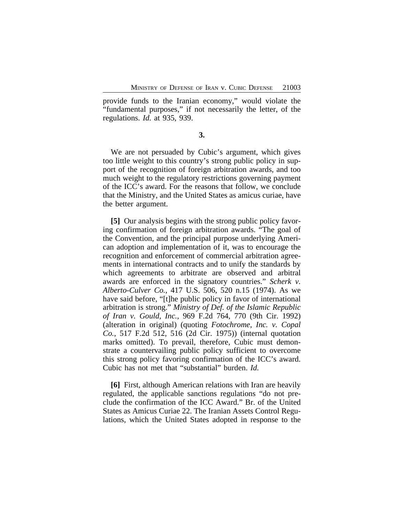provide funds to the Iranian economy," would violate the "fundamental purposes," if not necessarily the letter, of the regulations. *Id.* at 935, 939.

**3.**

We are not persuaded by Cubic's argument, which gives too little weight to this country's strong public policy in support of the recognition of foreign arbitration awards, and too much weight to the regulatory restrictions governing payment of the ICC's award. For the reasons that follow, we conclude that the Ministry, and the United States as amicus curiae, have the better argument.

**[5]** Our analysis begins with the strong public policy favoring confirmation of foreign arbitration awards. "The goal of the Convention, and the principal purpose underlying American adoption and implementation of it, was to encourage the recognition and enforcement of commercial arbitration agreements in international contracts and to unify the standards by which agreements to arbitrate are observed and arbitral awards are enforced in the signatory countries." *Scherk v. Alberto-Culver Co.*, 417 U.S. 506, 520 n.15 (1974). As we have said before, "[t]he public policy in favor of international arbitration is strong." *Ministry of Def. of the Islamic Republic of Iran v. Gould, Inc.*, 969 F.2d 764, 770 (9th Cir. 1992) (alteration in original) (quoting *Fotochrome, Inc. v. Copal Co.*, 517 F.2d 512, 516 (2d Cir. 1975)) (internal quotation marks omitted). To prevail, therefore, Cubic must demonstrate a countervailing public policy sufficient to overcome this strong policy favoring confirmation of the ICC's award. Cubic has not met that "substantial" burden. *Id.*

**[6]** First, although American relations with Iran are heavily regulated, the applicable sanctions regulations "do not preclude the confirmation of the ICC Award." Br. of the United States as Amicus Curiae 22. The Iranian Assets Control Regulations, which the United States adopted in response to the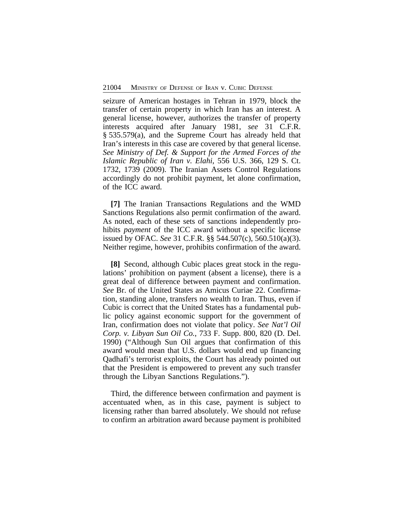seizure of American hostages in Tehran in 1979, block the transfer of certain property in which Iran has an interest. A general license, however, authorizes the transfer of property interests acquired after January 1981, *see* 31 C.F.R. § 535.579(a), and the Supreme Court has already held that Iran's interests in this case are covered by that general license. *See Ministry of Def. & Support for the Armed Forces of the Islamic Republic of Iran v. Elahi*, 556 U.S. 366, 129 S. Ct. 1732, 1739 (2009). The Iranian Assets Control Regulations accordingly do not prohibit payment, let alone confirmation, of the ICC award.

**[7]** The Iranian Transactions Regulations and the WMD Sanctions Regulations also permit confirmation of the award. As noted, each of these sets of sanctions independently prohibits *payment* of the ICC award without a specific license issued by OFAC. *See* 31 C.F.R. §§ 544.507(c), 560.510(a)(3). Neither regime, however, prohibits confirmation of the award.

**[8]** Second, although Cubic places great stock in the regulations' prohibition on payment (absent a license), there is a great deal of difference between payment and confirmation. *See* Br. of the United States as Amicus Curiae 22. Confirmation, standing alone, transfers no wealth to Iran. Thus, even if Cubic is correct that the United States has a fundamental public policy against economic support for the government of Iran, confirmation does not violate that policy. *See Nat'l Oil Corp. v. Libyan Sun Oil Co.*, 733 F. Supp. 800, 820 (D. Del. 1990) ("Although Sun Oil argues that confirmation of this award would mean that U.S. dollars would end up financing Qadhafi's terrorist exploits, the Court has already pointed out that the President is empowered to prevent any such transfer through the Libyan Sanctions Regulations.").

Third, the difference between confirmation and payment is accentuated when, as in this case, payment is subject to licensing rather than barred absolutely. We should not refuse to confirm an arbitration award because payment is prohibited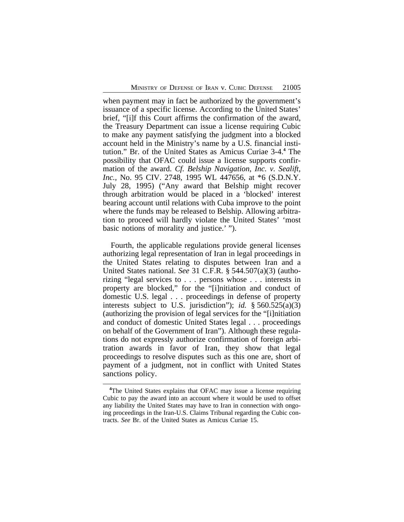when payment may in fact be authorized by the government's issuance of a specific license. According to the United States' brief, "[i]f this Court affirms the confirmation of the award, the Treasury Department can issue a license requiring Cubic to make any payment satisfying the judgment into a blocked account held in the Ministry's name by a U.S. financial institution." Br. of the United States as Amicus Curiae 3-4.**<sup>4</sup>** The possibility that OFAC could issue a license supports confirmation of the award. *Cf. Belship Navigation, Inc. v. Sealift, Inc.*, No. 95 CIV. 2748, 1995 WL 447656, at \*6 (S.D.N.Y. July 28, 1995) ("Any award that Belship might recover through arbitration would be placed in a 'blocked' interest bearing account until relations with Cuba improve to the point where the funds may be released to Belship. Allowing arbitration to proceed will hardly violate the United States' 'most basic notions of morality and justice.' ").

Fourth, the applicable regulations provide general licenses authorizing legal representation of Iran in legal proceedings in the United States relating to disputes between Iran and a United States national. *See* 31 C.F.R. § 544.507(a)(3) (authorizing "legal services to . . . persons whose . . . interests in property are blocked," for the "[i]nitiation and conduct of domestic U.S. legal . . . proceedings in defense of property interests subject to U.S. jurisdiction"); *id.* § 560.525(a)(3) (authorizing the provision of legal services for the "[i]nitiation and conduct of domestic United States legal . . . proceedings on behalf of the Government of Iran"). Although these regulations do not expressly authorize confirmation of foreign arbitration awards in favor of Iran, they show that legal proceedings to resolve disputes such as this one are, short of payment of a judgment, not in conflict with United States sanctions policy.

**<sup>4</sup>**The United States explains that OFAC may issue a license requiring Cubic to pay the award into an account where it would be used to offset any liability the United States may have to Iran in connection with ongoing proceedings in the Iran-U.S. Claims Tribunal regarding the Cubic contracts. *See* Br. of the United States as Amicus Curiae 15.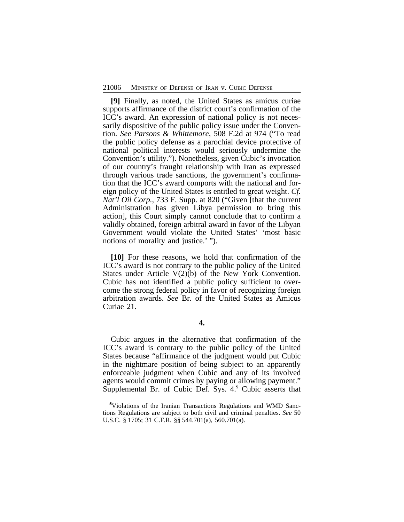**[9]** Finally, as noted, the United States as amicus curiae supports affirmance of the district court's confirmation of the ICC's award. An expression of national policy is not necessarily dispositive of the public policy issue under the Convention. *See Parsons & Whittemore*, 508 F.2d at 974 ("To read the public policy defense as a parochial device protective of national political interests would seriously undermine the Convention's utility."). Nonetheless, given Cubic's invocation of our country's fraught relationship with Iran as expressed through various trade sanctions, the government's confirmation that the ICC's award comports with the national and foreign policy of the United States is entitled to great weight. *Cf. Nat'l Oil Corp.*, 733 F. Supp. at 820 ("Given [that the current Administration has given Libya permission to bring this action], this Court simply cannot conclude that to confirm a validly obtained, foreign arbitral award in favor of the Libyan Government would violate the United States' 'most basic notions of morality and justice.' ").

**[10]** For these reasons, we hold that confirmation of the ICC's award is not contrary to the public policy of the United States under Article V(2)(b) of the New York Convention. Cubic has not identified a public policy sufficient to overcome the strong federal policy in favor of recognizing foreign arbitration awards. *See* Br. of the United States as Amicus Curiae 21.

Cubic argues in the alternative that confirmation of the ICC's award is contrary to the public policy of the United States because "affirmance of the judgment would put Cubic in the nightmare position of being subject to an apparently enforceable judgment when Cubic and any of its involved agents would commit crimes by paying or allowing payment." Supplemental Br. of Cubic Def. Sys. 4.**<sup>5</sup>** Cubic asserts that

**<sup>5</sup>**Violations of the Iranian Transactions Regulations and WMD Sanctions Regulations are subject to both civil and criminal penalties. *See* 50 U.S.C. § 1705; 31 C.F.R. §§ 544.701(a), 560.701(a).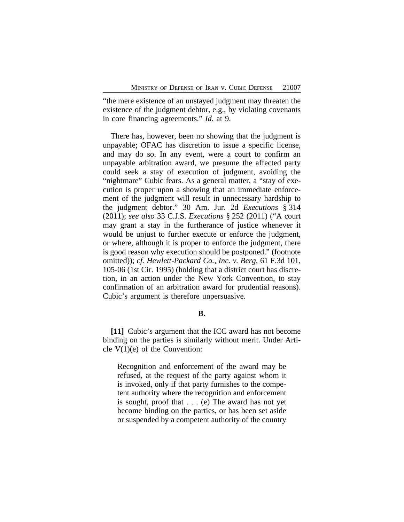"the mere existence of an unstayed judgment may threaten the existence of the judgment debtor, e.g., by violating covenants in core financing agreements." *Id.* at 9.

There has, however, been no showing that the judgment is unpayable; OFAC has discretion to issue a specific license, and may do so. In any event, were a court to confirm an unpayable arbitration award, we presume the affected party could seek a stay of execution of judgment, avoiding the "nightmare" Cubic fears. As a general matter, a "stay of execution is proper upon a showing that an immediate enforcement of the judgment will result in unnecessary hardship to the judgment debtor." 30 Am. Jur. 2d *Executions* § 314 (2011); *see also* 33 C.J.S. *Executions* § 252 (2011) ("A court may grant a stay in the furtherance of justice whenever it would be unjust to further execute or enforce the judgment, or where, although it is proper to enforce the judgment, there is good reason why execution should be postponed." (footnote omitted)); *cf. Hewlett-Packard Co., Inc. v. Berg*, 61 F.3d 101, 105-06 (1st Cir. 1995) (holding that a district court has discretion, in an action under the New York Convention, to stay confirmation of an arbitration award for prudential reasons). Cubic's argument is therefore unpersuasive.

#### **B.**

**[11]** Cubic's argument that the ICC award has not become binding on the parties is similarly without merit. Under Article  $V(1)(e)$  of the Convention:

Recognition and enforcement of the award may be refused, at the request of the party against whom it is invoked, only if that party furnishes to the competent authority where the recognition and enforcement is sought, proof that . . . (e) The award has not yet become binding on the parties, or has been set aside or suspended by a competent authority of the country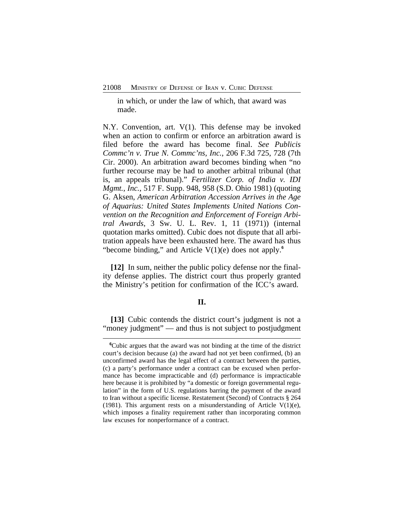in which, or under the law of which, that award was made.

N.Y. Convention, art. V(1). This defense may be invoked when an action to confirm or enforce an arbitration award is filed before the award has become final. *See Publicis Commc'n v. True N. Commc'ns, Inc.*, 206 F.3d 725, 728 (7th Cir. 2000). An arbitration award becomes binding when "no further recourse may be had to another arbitral tribunal (that is, an appeals tribunal)." *Fertilizer Corp. of India v. IDI Mgmt., Inc.*, 517 F. Supp. 948, 958 (S.D. Ohio 1981) (quoting G. Aksen, *American Arbitration Accession Arrives in the Age of Aquarius: United States Implements United Nations Convention on the Recognition and Enforcement of Foreign Arbitral Awards*, 3 Sw. U. L. Rev. 1, 11 (1971)) (internal quotation marks omitted). Cubic does not dispute that all arbitration appeals have been exhausted here. The award has thus "become binding," and Article V(1)(e) does not apply.**<sup>6</sup>**

**[12]** In sum, neither the public policy defense nor the finality defense applies. The district court thus properly granted the Ministry's petition for confirmation of the ICC's award.

## **II.**

**[13]** Cubic contends the district court's judgment is not a "money judgment" — and thus is not subject to postjudgment

**<sup>6</sup>**Cubic argues that the award was not binding at the time of the district court's decision because (a) the award had not yet been confirmed, (b) an unconfirmed award has the legal effect of a contract between the parties, (c) a party's performance under a contract can be excused when performance has become impracticable and (d) performance is impracticable here because it is prohibited by "a domestic or foreign governmental regulation" in the form of U.S. regulations barring the payment of the award to Iran without a specific license. Restatement (Second) of Contracts § 264 (1981). This argument rests on a misunderstanding of Article V(1)(e), which imposes a finality requirement rather than incorporating common law excuses for nonperformance of a contract.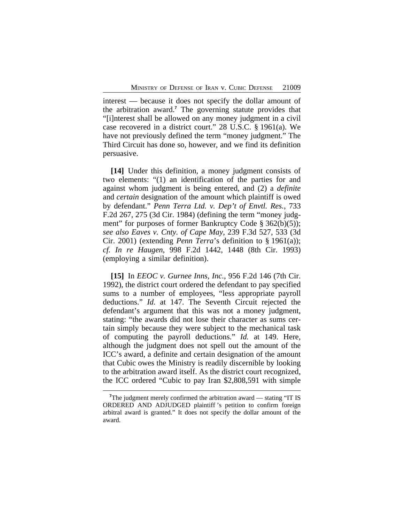interest — because it does not specify the dollar amount of the arbitration award.**<sup>7</sup>** The governing statute provides that "[i]nterest shall be allowed on any money judgment in a civil case recovered in a district court." 28 U.S.C. § 1961(a). We have not previously defined the term "money judgment." The Third Circuit has done so, however, and we find its definition persuasive.

**[14]** Under this definition, a money judgment consists of two elements: "(1) an identification of the parties for and against whom judgment is being entered, and (2) a *definite* and *certain* designation of the amount which plaintiff is owed by defendant." *Penn Terra Ltd. v. Dep't of Envtl. Res.*, 733 F.2d 267, 275 (3d Cir. 1984) (defining the term "money judgment" for purposes of former Bankruptcy Code § 362(b)(5)); *see also Eaves v. Cnty. of Cape May*, 239 F.3d 527, 533 (3d Cir. 2001) (extending *Penn Terra*'s definition to § 1961(a)); *cf. In re Haugen*, 998 F.2d 1442, 1448 (8th Cir. 1993) (employing a similar definition).

**[15]** In *EEOC v. Gurnee Inns, Inc.*, 956 F.2d 146 (7th Cir. 1992), the district court ordered the defendant to pay specified sums to a number of employees, "less appropriate payroll deductions." *Id.* at 147. The Seventh Circuit rejected the defendant's argument that this was not a money judgment, stating: "the awards did not lose their character as sums certain simply because they were subject to the mechanical task of computing the payroll deductions." *Id.* at 149. Here, although the judgment does not spell out the amount of the ICC's award, a definite and certain designation of the amount that Cubic owes the Ministry is readily discernible by looking to the arbitration award itself. As the district court recognized, the ICC ordered "Cubic to pay Iran \$2,808,591 with simple

<sup>&</sup>lt;sup>7</sup>The judgment merely confirmed the arbitration award — stating "IT IS ORDERED AND ADJUDGED plaintiff 's petition to confirm foreign arbitral award is granted." It does not specify the dollar amount of the award.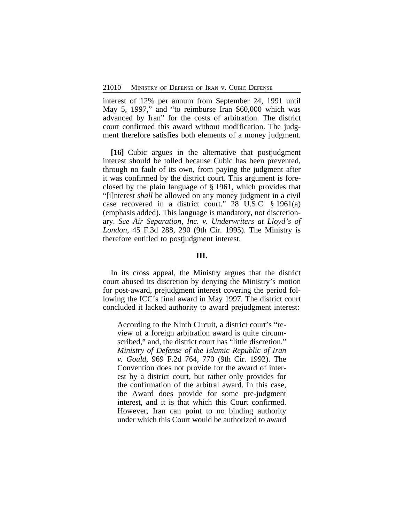interest of 12% per annum from September 24, 1991 until May 5, 1997," and "to reimburse Iran \$60,000 which was advanced by Iran" for the costs of arbitration. The district court confirmed this award without modification. The judgment therefore satisfies both elements of a money judgment.

**[16]** Cubic argues in the alternative that postjudgment interest should be tolled because Cubic has been prevented, through no fault of its own, from paying the judgment after it was confirmed by the district court. This argument is foreclosed by the plain language of § 1961, which provides that "[i]nterest *shall* be allowed on any money judgment in a civil case recovered in a district court." 28 U.S.C. § 1961(a) (emphasis added). This language is mandatory, not discretionary. *See Air Separation, Inc. v. Underwriters at Lloyd's of London*, 45 F.3d 288, 290 (9th Cir. 1995). The Ministry is therefore entitled to postjudgment interest.

#### **III.**

In its cross appeal, the Ministry argues that the district court abused its discretion by denying the Ministry's motion for post-award, prejudgment interest covering the period following the ICC's final award in May 1997. The district court concluded it lacked authority to award prejudgment interest:

According to the Ninth Circuit, a district court's "review of a foreign arbitration award is quite circumscribed," and, the district court has "little discretion." *Ministry of Defense of the Islamic Republic of Iran v. Gould*, 969 F.2d 764, 770 (9th Cir. 1992). The Convention does not provide for the award of interest by a district court, but rather only provides for the confirmation of the arbitral award. In this case, the Award does provide for some pre-judgment interest, and it is that which this Court confirmed. However, Iran can point to no binding authority under which this Court would be authorized to award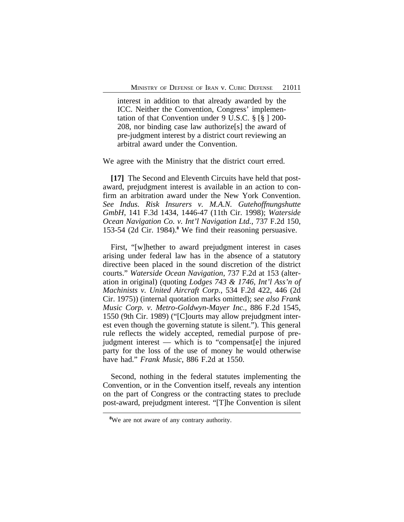interest in addition to that already awarded by the ICC. Neither the Convention, Congress' implementation of that Convention under 9 U.S.C. § [§ ] 200- 208, nor binding case law authorize[s] the award of pre-judgment interest by a district court reviewing an arbitral award under the Convention.

We agree with the Ministry that the district court erred.

**[17]** The Second and Eleventh Circuits have held that postaward, prejudgment interest is available in an action to confirm an arbitration award under the New York Convention. *See Indus. Risk Insurers v. M.A.N. Gutehoffnungshutte GmbH*, 141 F.3d 1434, 1446-47 (11th Cir. 1998); *Waterside Ocean Navigation Co. v. Int'l Navigation Ltd.*, 737 F.2d 150, 153-54 (2d Cir. 1984).**<sup>8</sup>** We find their reasoning persuasive.

First, "[w]hether to award prejudgment interest in cases arising under federal law has in the absence of a statutory directive been placed in the sound discretion of the district courts." *Waterside Ocean Navigation*, 737 F.2d at 153 (alteration in original) (quoting *Lodges 743 & 1746, Int'l Ass'n of Machinists v. United Aircraft Corp.*, 534 F.2d 422, 446 (2d Cir. 1975)) (internal quotation marks omitted); *see also Frank Music Corp. v. Metro-Goldwyn-Mayer Inc.*, 886 F.2d 1545, 1550 (9th Cir. 1989) ("[C]ourts may allow prejudgment interest even though the governing statute is silent."). This general rule reflects the widely accepted, remedial purpose of prejudgment interest — which is to "compensat[e] the injured party for the loss of the use of money he would otherwise have had." *Frank Music*, 886 F.2d at 1550.

Second, nothing in the federal statutes implementing the Convention, or in the Convention itself, reveals any intention on the part of Congress or the contracting states to preclude post-award, prejudgment interest. "[T]he Convention is silent

**<sup>8</sup>**We are not aware of any contrary authority.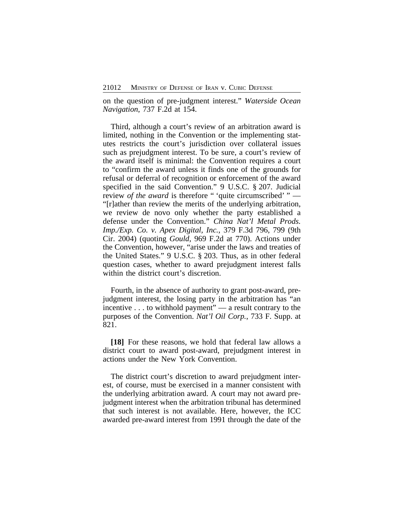on the question of pre-judgment interest." *Waterside Ocean Navigation*, 737 F.2d at 154.

Third, although a court's review of an arbitration award is limited, nothing in the Convention or the implementing statutes restricts the court's jurisdiction over collateral issues such as prejudgment interest. To be sure, a court's review of the award itself is minimal: the Convention requires a court to "confirm the award unless it finds one of the grounds for refusal or deferral of recognition or enforcement of the award specified in the said Convention." 9 U.S.C. § 207. Judicial review *of the award* is therefore " 'quite circumscribed' " — "[r]ather than review the merits of the underlying arbitration, we review de novo only whether the party established a defense under the Convention." *China Nat'l Metal Prods. Imp./Exp. Co. v. Apex Digital, Inc.*, 379 F.3d 796, 799 (9th Cir. 2004) (quoting *Gould*, 969 F.2d at 770). Actions under the Convention, however, "arise under the laws and treaties of the United States." 9 U.S.C. § 203. Thus, as in other federal question cases, whether to award prejudgment interest falls within the district court's discretion.

Fourth, in the absence of authority to grant post-award, prejudgment interest, the losing party in the arbitration has "an incentive . . . to withhold payment" — a result contrary to the purposes of the Convention. *Nat'l Oil Corp.*, 733 F. Supp. at 821.

**[18]** For these reasons, we hold that federal law allows a district court to award post-award, prejudgment interest in actions under the New York Convention.

The district court's discretion to award prejudgment interest, of course, must be exercised in a manner consistent with the underlying arbitration award. A court may not award prejudgment interest when the arbitration tribunal has determined that such interest is not available. Here, however, the ICC awarded pre-award interest from 1991 through the date of the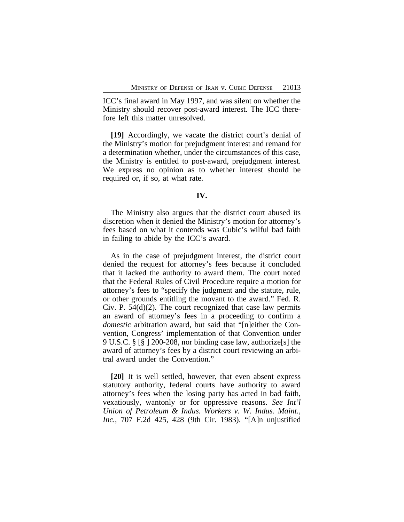ICC's final award in May 1997, and was silent on whether the Ministry should recover post-award interest. The ICC therefore left this matter unresolved.

**[19]** Accordingly, we vacate the district court's denial of the Ministry's motion for prejudgment interest and remand for a determination whether, under the circumstances of this case, the Ministry is entitled to post-award, prejudgment interest. We express no opinion as to whether interest should be required or, if so, at what rate.

## **IV.**

The Ministry also argues that the district court abused its discretion when it denied the Ministry's motion for attorney's fees based on what it contends was Cubic's wilful bad faith in failing to abide by the ICC's award.

As in the case of prejudgment interest, the district court denied the request for attorney's fees because it concluded that it lacked the authority to award them. The court noted that the Federal Rules of Civil Procedure require a motion for attorney's fees to "specify the judgment and the statute, rule, or other grounds entitling the movant to the award." Fed. R. Civ. P. 54(d)(2). The court recognized that case law permits an award of attorney's fees in a proceeding to confirm a *domestic* arbitration award, but said that "[n]either the Convention, Congress' implementation of that Convention under 9 U.S.C. § [§ ] 200-208, nor binding case law, authorize[s] the award of attorney's fees by a district court reviewing an arbitral award under the Convention."

**[20]** It is well settled, however, that even absent express statutory authority, federal courts have authority to award attorney's fees when the losing party has acted in bad faith, vexatiously, wantonly or for oppressive reasons. *See Int'l Union of Petroleum & Indus. Workers v. W. Indus. Maint., Inc.*, 707 F.2d 425, 428 (9th Cir. 1983). "[A]n unjustified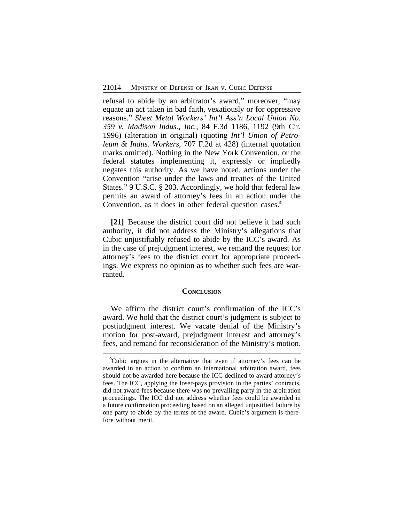refusal to abide by an arbitrator's award," moreover, "may equate an act taken in bad faith, vexatiously or for oppressive reasons." *Sheet Metal Workers' Int'l Ass'n Local Union No. 359 v. Madison Indus., Inc.*, 84 F.3d 1186, 1192 (9th Cir. 1996) (alteration in original) (quoting *Int'l Union of Petroleum & Indus. Workers*, 707 F.2d at 428) (internal quotation marks omitted). Nothing in the New York Convention, or the federal statutes implementing it, expressly or impliedly negates this authority. As we have noted, actions under the Convention "arise under the laws and treaties of the United States." 9 U.S.C. § 203. Accordingly, we hold that federal law permits an award of attorney's fees in an action under the Convention, as it does in other federal question cases.**<sup>9</sup>**

**[21]** Because the district court did not believe it had such authority, it did not address the Ministry's allegations that Cubic unjustifiably refused to abide by the ICC's award. As in the case of prejudgment interest, we remand the request for attorney's fees to the district court for appropriate proceedings. We express no opinion as to whether such fees are warranted.

### **CONCLUSION**

We affirm the district court's confirmation of the ICC's award. We hold that the district court's judgment is subject to postjudgment interest. We vacate denial of the Ministry's motion for post-award, prejudgment interest and attorney's fees, and remand for reconsideration of the Ministry's motion.

**<sup>9</sup>**Cubic argues in the alternative that even if attorney's fees can be awarded in an action to confirm an international arbitration award, fees should not be awarded here because the ICC declined to award attorney's fees. The ICC, applying the loser-pays provision in the parties' contracts, did not award fees because there was no prevailing party in the arbitration proceedings. The ICC did not address whether fees could be awarded in a future confirmation proceeding based on an alleged unjustified failure by one party to abide by the terms of the award. Cubic's argument is therefore without merit.